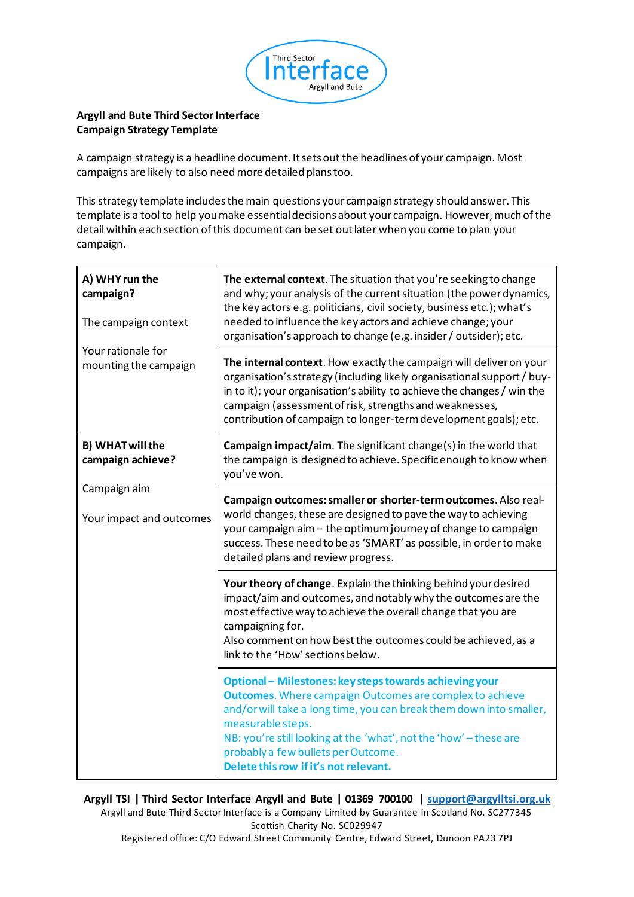

## **Argyll and Bute Third Sector Interface Campaign Strategy Template**

A campaign strategy is a headline document. It sets out the headlines of your campaign. Most campaigns are likely to also need more detailed plans too.

This strategy template includes the main questions your campaign strategy should answer. This template is a tool to help you make essential decisions about your campaign. However, much of the detail within each section of this document can be set out later when you come to plan your campaign.

| A) WHY run the<br>campaign?<br>The campaign context<br>Your rationale for<br>mounting the campaign | The external context. The situation that you're seeking to change<br>and why; your analysis of the current situation (the power dynamics,<br>the key actors e.g. politicians, civil society, business etc.); what's<br>needed to influence the key actors and achieve change; your<br>organisation's approach to change (e.g. insider / outsider); etc.                     |
|----------------------------------------------------------------------------------------------------|-----------------------------------------------------------------------------------------------------------------------------------------------------------------------------------------------------------------------------------------------------------------------------------------------------------------------------------------------------------------------------|
|                                                                                                    | The internal context. How exactly the campaign will deliver on your<br>organisation's strategy (including likely organisational support / buy-<br>in to it); your organisation's ability to achieve the changes / win the<br>campaign (assessment of risk, strengths and weaknesses,<br>contribution of campaign to longer-term development goals); etc.                    |
| <b>B) WHAT will the</b><br>campaign achieve?<br>Campaign aim<br>Your impact and outcomes           | Campaign impact/aim. The significant change(s) in the world that<br>the campaign is designed to achieve. Specific enough to know when<br>you've won.                                                                                                                                                                                                                        |
|                                                                                                    | Campaign outcomes: smaller or shorter-term outcomes. Also real-<br>world changes, these are designed to pave the way to achieving<br>your campaign aim - the optimum journey of change to campaign<br>success. These need to be as 'SMART' as possible, in order to make<br>detailed plans and review progress.                                                             |
|                                                                                                    | Your theory of change. Explain the thinking behind your desired<br>impact/aim and outcomes, and notably why the outcomes are the<br>most effective way to achieve the overall change that you are<br>campaigning for.<br>Also comment on how best the outcomes could be achieved, as a<br>link to the 'How' sections below.                                                 |
|                                                                                                    | Optional - Milestones: key steps towards achieving your<br><b>Outcomes.</b> Where campaign Outcomes are complex to achieve<br>and/or will take a long time, you can break them down into smaller,<br>measurable steps.<br>NB: you're still looking at the 'what', not the 'how' - these are<br>probably a few bullets per Outcome.<br>Delete this row if it's not relevant. |

**Argyll TSI | Third Sector Interface Argyll and Bute | 01369 700100 | support@argylltsi.org.uk** Argyll and Bute Third Sector Interface is a Company Limited by Guarantee in Scotland No. SC277345 Scottish Charity No. SC029947 Registered office: C/O Edward Street Community Centre, Edward Street, Dunoon PA23 7PJ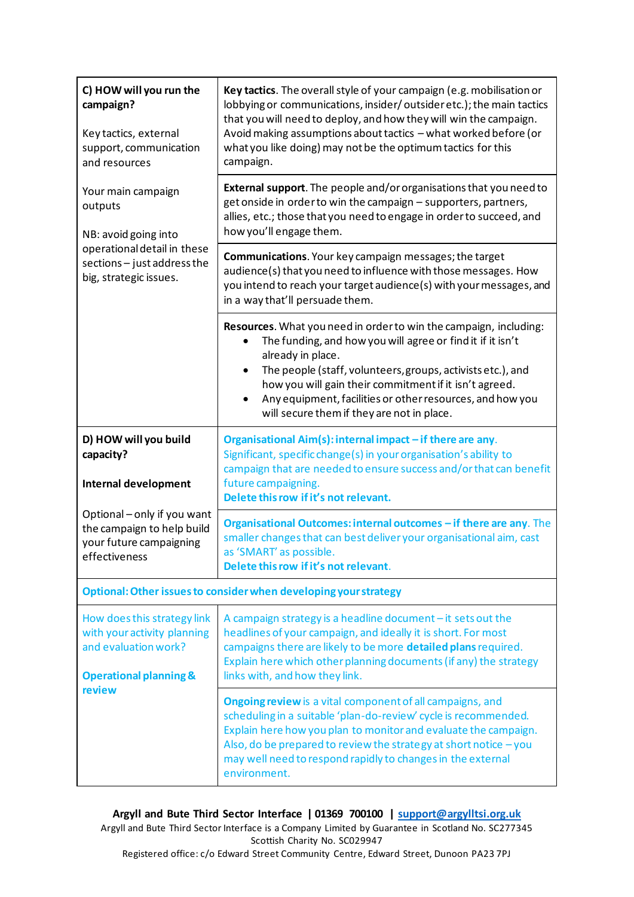| C) HOW will you run the<br>campaign?<br>Key tactics, external<br>support, communication<br>and resources                                                                   | Key tactics. The overall style of your campaign (e.g. mobilisation or<br>lobbying or communications, insider/outsideretc.); the main tactics<br>that you will need to deploy, and how they will win the campaign.<br>Avoid making assumptions about tactics - what worked before (or<br>what you like doing) may not be the optimum tactics for this<br>campaign.                                          |  |
|----------------------------------------------------------------------------------------------------------------------------------------------------------------------------|------------------------------------------------------------------------------------------------------------------------------------------------------------------------------------------------------------------------------------------------------------------------------------------------------------------------------------------------------------------------------------------------------------|--|
| Your main campaign<br>outputs<br>NB: avoid going into<br>operational detail in these<br>sections - just address the<br>big, strategic issues.                              | <b>External support</b> . The people and/or organisations that you need to<br>get onside in order to win the campaign - supporters, partners,<br>allies, etc.; those that you need to engage in order to succeed, and<br>how you'll engage them.                                                                                                                                                           |  |
|                                                                                                                                                                            | Communications. Your key campaign messages; the target<br>audience(s) that you need to influence with those messages. How<br>you intend to reach your target audience(s) with your messages, and<br>in a way that'll persuade them.                                                                                                                                                                        |  |
|                                                                                                                                                                            | Resources. What you need in order to win the campaign, including:<br>The funding, and how you will agree or find it if it isn't<br>already in place.<br>The people (staff, volunteers, groups, activists etc.), and<br>$\bullet$<br>how you will gain their commitment if it isn't agreed.<br>Any equipment, facilities or other resources, and how you<br>٠<br>will secure them if they are not in place. |  |
| D) HOW will you build<br>capacity?<br><b>Internal development</b><br>Optional - only if you want<br>the campaign to help build<br>your future campaigning<br>effectiveness | Organisational Aim(s): internal impact - if there are any.<br>Significant, specific change(s) in your organisation's ability to<br>campaign that are needed to ensure success and/or that can benefit<br>future campaigning.<br>Delete this row if it's not relevant.                                                                                                                                      |  |
|                                                                                                                                                                            | Organisational Outcomes: internal outcomes - if there are any. The<br>smaller changes that can best deliver your organisational aim, cast<br>as 'SMART' as possible.<br>Delete this row if it's not relevant.                                                                                                                                                                                              |  |
| Optional: Other issues to consider when developing your strategy                                                                                                           |                                                                                                                                                                                                                                                                                                                                                                                                            |  |
| How does this strategy link<br>with your activity planning<br>and evaluation work?<br><b>Operational planning &amp;</b><br>review                                          | A campaign strategy is a headline document - it sets out the<br>headlines of your campaign, and ideally it is short. For most<br>campaigns there are likely to be more detailed plans required.<br>Explain here which other planning documents (if any) the strategy<br>links with, and how they link.                                                                                                     |  |
|                                                                                                                                                                            | <b>Ongoing review</b> is a vital component of all campaigns, and<br>scheduling in a suitable 'plan-do-review' cycle is recommended.<br>Explain here how you plan to monitor and evaluate the campaign.<br>Also, do be prepared to review the strategy at short notice - you<br>may well need to respond rapidly to changes in the external<br>environment.                                                 |  |

**Argyll and Bute Third Sector Interface | 01369 700100 | support@argylltsi.org.uk** Argyll and Bute Third Sector Interface is a Company Limited by Guarantee in Scotland No. SC277345 Scottish Charity No. SC029947 Registered office: c/o Edward Street Community Centre, Edward Street, Dunoon PA23 7PJ